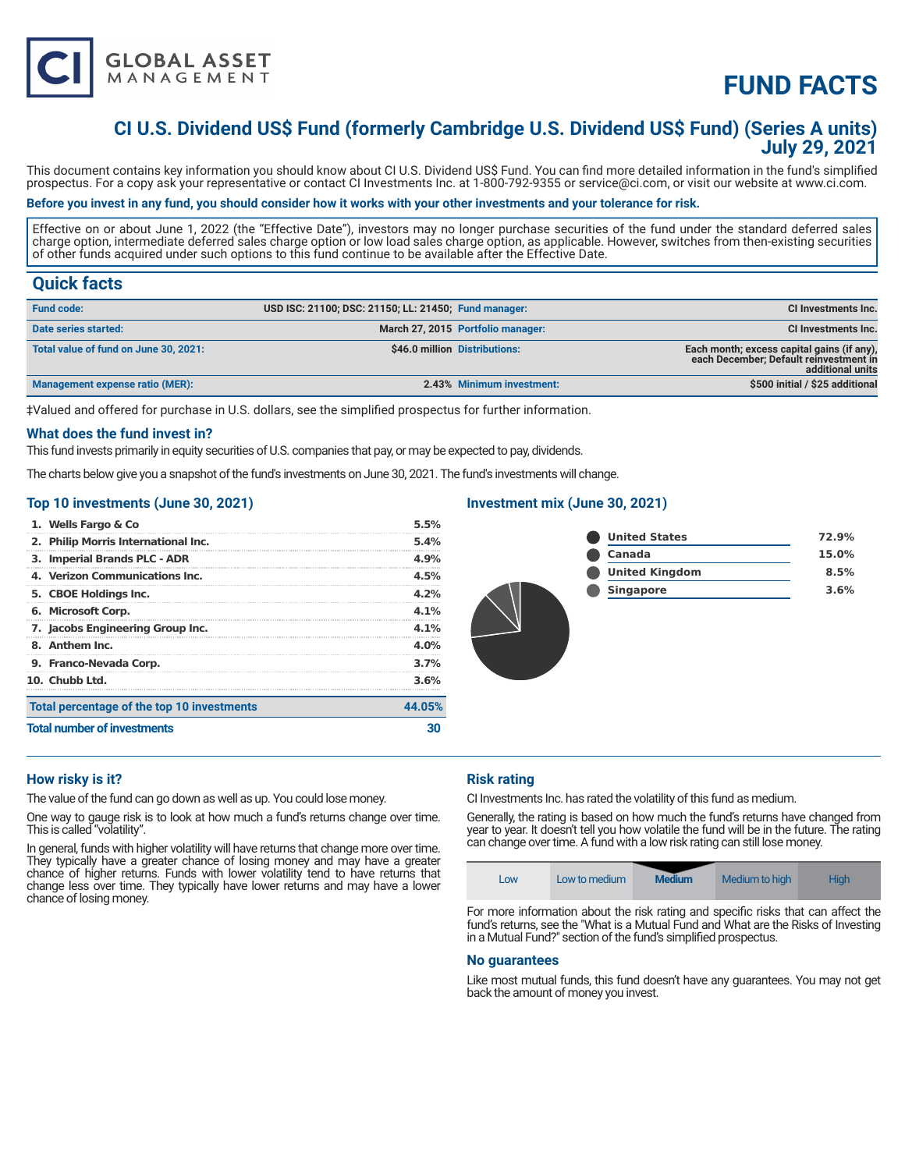

# **FUND FACTS**

# **CI U.S. Dividend US\$ Fund (formerly Cambridge U.S. Dividend US\$ Fund) (Series A units) July 29, 2021**

This document contains key information you should know about CI U.S. Dividend US\$ Fund. You can find more detailed information in the fund's simplified prospectus. For a copy ask your representative or contact CI Investments Inc. at 1-800-792-9355 or service@ci.com, or visit our website at www.ci.com.

## **Before you invest in any fund, you should consider how it works with your other investments and your tolerance for risk.**

Effective on or about June 1, 2022 (the "Effective Date"), investors may no longer purchase securities of the fund under the standard deferred sales charge option, intermediate deferred sales charge option or low load sales charge option, as applicable. However, switches from then-existing securities of other funds acquired under such options to this fund continue to be available after the Effective Date.

# **Quick facts**

| <b>Fund code:</b>                     | USD ISC: 21100; DSC: 21150; LL: 21450; Fund manager: |                                   | <b>CI Investments Inc.</b>                                                                               |
|---------------------------------------|------------------------------------------------------|-----------------------------------|----------------------------------------------------------------------------------------------------------|
| Date series started:                  |                                                      | March 27, 2015 Portfolio manager: | <b>CI Investments Inc.</b>                                                                               |
| Total value of fund on June 30, 2021: |                                                      | \$46.0 million Distributions:     | Each month; excess capital gains (if any),<br>each December; Default reinvestment in<br>additional units |
| Management expense ratio (MER):       |                                                      | 2.43% Minimum investment:         | \$500 initial / \$25 additional                                                                          |

‡Valued and offered for purchase in U.S. dollars, see the simplified prospectus for further information.

#### **What does the fund invest in?**

This fund invests primarily in equity securities of U.S. companies that pay, or may be expected to pay, dividends.

The charts below give you a snapshot of the fund's investments on June 30, 2021. The fund's investments will change.

#### **Top 10 investments (June 30, 2021)**

| <b>Total number of investments</b>         |         |
|--------------------------------------------|---------|
| Total percentage of the top 10 investments | 44.05%  |
| 10. Chubb Ltd.                             | 3.6%    |
| 9. Franco-Nevada Corp.                     | 3.7%    |
| 8. Anthem Inc.                             | $4.0\%$ |
| 7. Jacobs Engineering Group Inc.           | 4.1%    |
| 6. Microsoft Corp.                         | 4.1%    |
| 5. CBOE Holdings Inc.                      | 4.2%    |
| 4. Verizon Communications Inc.             | 4.5%    |
| 3. Imperial Brands PLC - ADR               | 4.9%    |
| 2. Philip Morris International Inc.        | 5.4%    |
| 1. Wells Fargo & Co                        | 5.5%    |

### **Investment mix (June 30, 2021)**

| <b>United States</b>  | 72.9% |
|-----------------------|-------|
| Canada                | 15.0% |
| <b>United Kingdom</b> | 8.5%  |
| <b>Singapore</b>      | 3.6%  |
|                       |       |

#### **How risky is it?**

The value of the fund can go down as well as up. You could lose money.

One way to gauge risk is to look at how much a fund's returns change over time. This is called "volatility".

In general, funds with higher volatility will have returns that change more over time. They typically have a greater chance of losing money and may have a greater chance of higher returns. Funds with lower volatility tend to have returns that change less over time. They typically have lower returns and may have a lower chance of losing money.

## **Risk rating**

CI Investments Inc. has rated the volatility of this fund as medium.

Generally, the rating is based on how much the fund's returns have changed from year to year. It doesn't tell you how volatile the fund will be in the future. The rating can change over time. A fund with a low risk rating can still lose money.



For more information about the risk rating and specific risks that can affect the fund's returns, see the "What is a Mutual Fund and What are the Risks of Investing in a Mutual Fund?" section of the fund's simplified prospectus.

#### **No guarantees**

Like most mutual funds, this fund doesn't have any guarantees. You may not get back the amount of money you invest.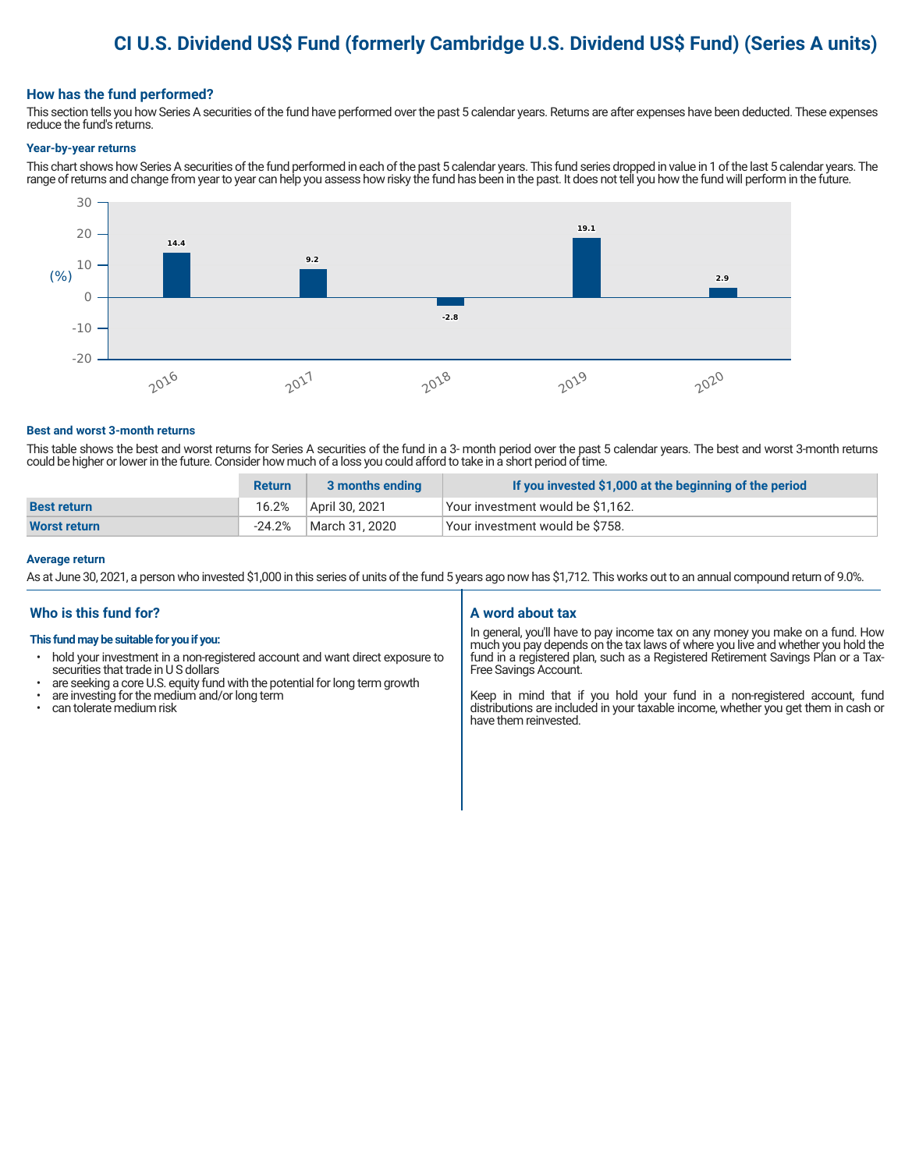# **CI U.S. Dividend US\$ Fund (formerly Cambridge U.S. Dividend US\$ Fund) (Series A units)**

#### **How has the fund performed?**

This section tells you how Series A securities of the fund have performed over the past 5 calendar years. Returns are after expenses have been deducted. These expenses reduce the fund's returns.

#### **Year-by-year returns**

This chart shows how Series A securities of the fund performed in each of the past 5 calendar years. This fund series dropped in value in 1 of the last 5 calendar years. The range of returns and change from year to year can help you assess how risky the fund has been in the past. It does not tell you how the fund will perform in the future.



#### **Best and worst 3-month returns**

This table shows the best and worst returns for Series A securities of the fund in a 3- month period over the past 5 calendar years. The best and worst 3-month returns could be higher or lower in the future. Consider how much of a loss you could afford to take in a short period of time.

|                     | <b>Return</b> | 3 months ending | If you invested \$1,000 at the beginning of the period |
|---------------------|---------------|-----------------|--------------------------------------------------------|
| <b>Best return</b>  | 16.2%         | April 30, 2021  | Your investment would be \$1,162.                      |
| <b>Worst return</b> | $-24.2%$      | March 31, 2020  | Vour investment would be \$758.                        |

#### **Average return**

As at June 30, 2021, a person who invested \$1,000 in this series of units of the fund 5 years ago now has \$1,712. This works out to an annual compound return of 9.0%.

## **Who is this fund for?**

#### **This fund may be suitable for you if you:**

- hold your investment in a non-registered account and want direct exposure to securities that trade in U S dollars
- are seeking a core U.S. equity fund with the potential for long term growth
- are investing for the medium and/or long term
- can tolerate medium risk

## **A word about tax**

In general, you'll have to pay income tax on any money you make on a fund. How much you pay depends on the tax laws of where you live and whether you hold the fund in a registered plan, such as a Registered Retirement Savings Plan or a Tax-Free Savings Account.

Keep in mind that if you hold your fund in a non-registered account, fund distributions are included in your taxable income, whether you get them in cash or have them reinvested.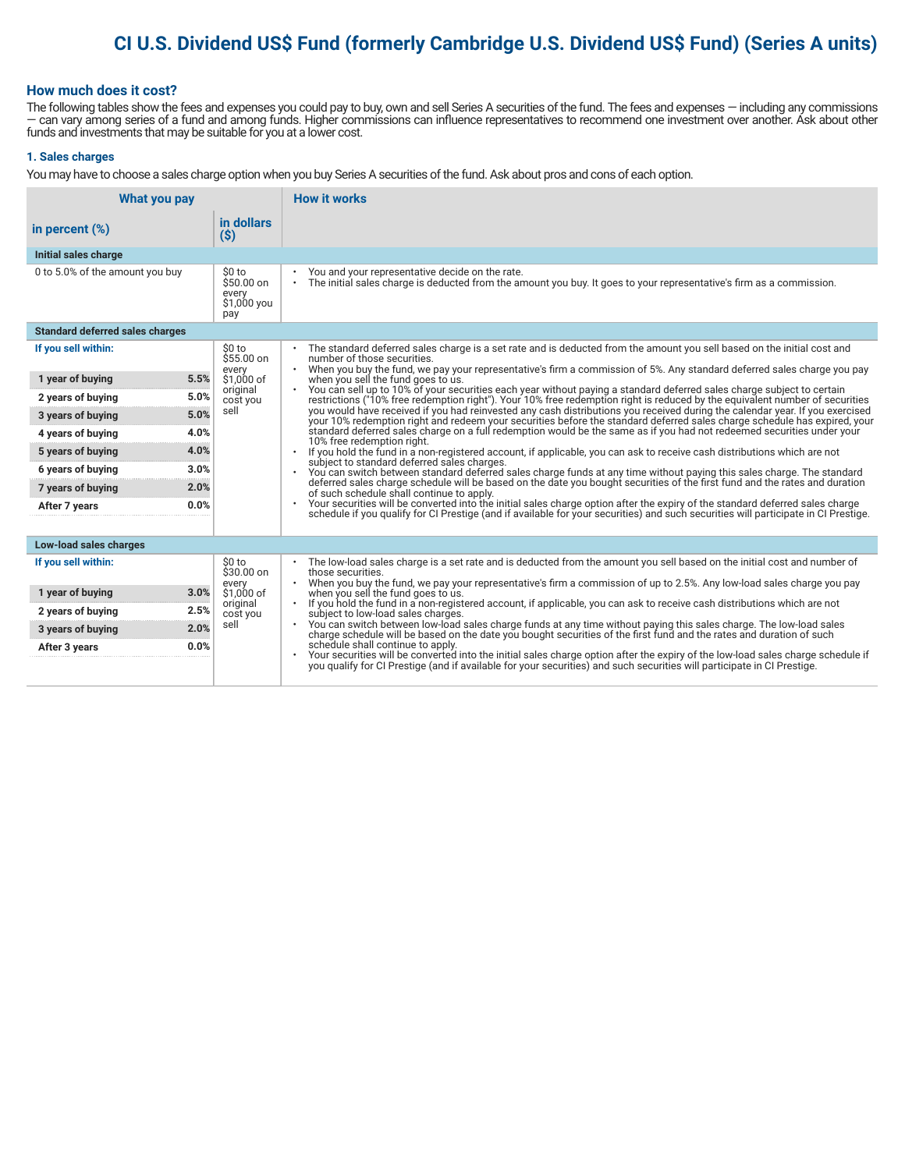# **CI U.S. Dividend US\$ Fund (formerly Cambridge U.S. Dividend US\$ Fund) (Series A units)**

### **How much does it cost?**

The following tables show the fees and expenses you could pay to buy, own and sell Series A securities of the fund. The fees and expenses — including any commissions — can vary among series of a fund and among funds. Higher commissions can influence representatives to recommend one investment over another. Ask about other funds and investments that may be suitable for you at a lower cost.

#### **1. Sales charges**

You may have to choose a sales charge option when you buy Series A securities of the fund. Ask about pros and cons of each option.

| What you pay                           |                                                     | <b>How it works</b>                                                                                                                                                                                                                                                               |
|----------------------------------------|-----------------------------------------------------|-----------------------------------------------------------------------------------------------------------------------------------------------------------------------------------------------------------------------------------------------------------------------------------|
| in percent $(\%)$                      | in dollars<br>$(\$)$                                |                                                                                                                                                                                                                                                                                   |
| Initial sales charge                   |                                                     |                                                                                                                                                                                                                                                                                   |
| 0 to 5.0% of the amount you buy        | \$0 to<br>\$50.00 on<br>every<br>\$1,000 you<br>pay | You and your representative decide on the rate.<br>٠<br>The initial sales charge is deducted from the amount you buy. It goes to your representative's firm as a commission.<br>$\bullet$                                                                                         |
| <b>Standard deferred sales charges</b> |                                                     |                                                                                                                                                                                                                                                                                   |
| If you sell within:                    | \$0 to<br>$$55.00$ on                               | The standard deferred sales charge is a set rate and is deducted from the amount you sell based on the initial cost and<br>number of those securities.                                                                                                                            |
| 5.5%<br>1 year of buying               | every<br>\$1.000 of                                 | . When you buy the fund, we pay your representative's firm a commission of 5%. Any standard deferred sales charge you pay<br>when you sell the fund goes to us.                                                                                                                   |
| 5.0%<br>2 years of buying              | original<br>cost you                                | You can sell up to 10% of your securities each year without paying a standard deferred sales charge subject to certain<br>$\bullet$<br>restrictions ("10% free redemption right"). Your 10% free redemption right is reduced by the equivalent number of securities               |
| 5.0%<br>3 years of buying              | sell                                                | you would have received if you had reinvested any cash distributions you received during the calendar year. If you exercised<br>your 10% redemption right and redeem your securities before the standard deferred sales charge schedule has expired, your                         |
| 4.0%<br>4 years of buying              |                                                     | standard deferred sales charge on a full redemption would be the same as if you had not redeemed securities under your<br>10% free redemption right.                                                                                                                              |
| 4.0%<br>5 years of buying              |                                                     | If you hold the fund in a non-registered account, if applicable, you can ask to receive cash distributions which are not<br>subject to standard deferred sales charges.                                                                                                           |
| 3.0%<br>6 years of buying              |                                                     | You can switch between standard deferred sales charge funds at any time without paying this sales charge. The standard<br>deferred sales charge schedule will be based on the date you bought securities of the first fund and the rates and duration                             |
| 2.0%<br>7 years of buying              |                                                     | of such schedule shall continue to apply.                                                                                                                                                                                                                                         |
| 0.0%<br>After 7 years                  |                                                     | Your securities will be converted into the initial sales charge option after the expiry of the standard deferred sales charge<br>$\bullet$<br>schedule if you qualify for CI Prestige (and if available for your securities) and such securities will participate in CI Prestige. |
| Low-load sales charges                 |                                                     |                                                                                                                                                                                                                                                                                   |
| If you sell within:                    | \$0 to                                              | The low-load sales charge is a set rate and is deducted from the amount you sell based on the initial cost and number of                                                                                                                                                          |
|                                        | $$30.00$ on<br>every                                | those securities.<br>When you buy the fund, we pay your representative's firm a commission of up to 2.5%. Any low-load sales charge you pay                                                                                                                                       |
| 3.0%<br>1 year of buying               | \$1,000 of<br>original                              | when you sell the fund goes to us.<br>If you hold the fund in a non-registered account, if applicable, you can ask to receive cash distributions which are not<br>$\bullet$                                                                                                       |
| 2.5%<br>2 years of buying              | cost you                                            | subject to low-load sales charges.                                                                                                                                                                                                                                                |
| 2.0%<br>3 years of buying              | sell                                                | You can switch between low-load sales charge funds at any time without paying this sales charge. The low-load sales<br>charge schedule will be based on the date you bought securities of the first fund and the rates and durati                                                 |
| 0.0%<br>After 3 years                  |                                                     | schedule shall continue to apply.<br>Your securities will be converted into the initial sales charge option after the expiry of the low-load sales charge schedule if                                                                                                             |
|                                        |                                                     | you qualify for CI Prestige (and if available for your securities) and such securities will participate in CI Prestige.                                                                                                                                                           |